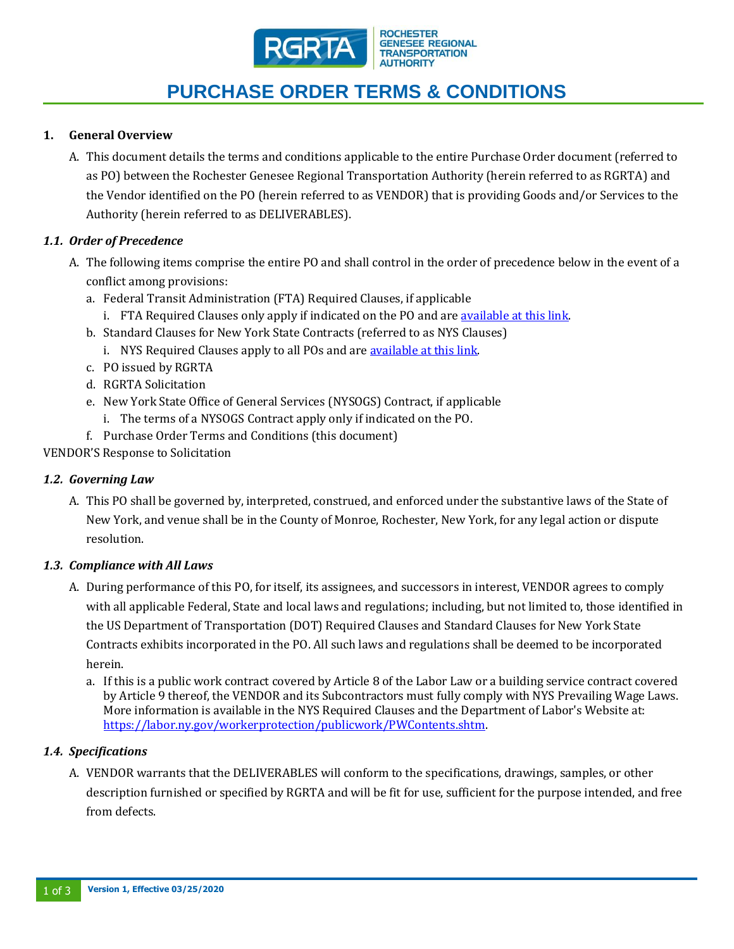

#### **GENESEE REGIONAL TRANSPORTATION AUTHORITY**

# **PURCHASE ORDER TERMS & CONDITIONS**

## **1. General Overview**

A. This document details the terms and conditions applicable to the entire Purchase Order document (referred to as PO) between the Rochester Genesee Regional Transportation Authority (herein referred to as RGRTA) and the Vendor identified on the PO (herein referred to as VENDOR) that is providing Goods and/or Services to the Authority (herein referred to as DELIVERABLES).

## *1.1. Order of Precedence*

- A. The following items comprise the entire PO and shall control in the order of precedence below in the event of a conflict among provisions:
	- a. Federal Transit Administration (FTA) Required Clauses, if applicable
		- i. FTA Required Clauses only apply if indicated on the PO and ar[e available at this link.](https://myrts.com/Portals/0/Documents/Procurement-updates/2020%20updates/Federal%20Transit%20Administration%20(FTA)%20Required%20Clauses.pdf?ver=2020-02-12-084501-827)
	- b. Standard Clauses for New York State Contracts (referred to as NYS Clauses)
		- i. NYS Required Clauses apply to all POs and are [available at this link.](https://myrts.com/Portals/0/Documents/Procurement-updates/2020%20updates/New%20York%20State%20(NYS)%20Required%20Clauses.pdf?ver=2020-02-12-084510-420)
	- c. PO issued by RGRTA
	- d. RGRTA Solicitation
	- e. New York State Office of General Services (NYSOGS) Contract, if applicable
		- i. The terms of a NYSOGS Contract apply only if indicated on the PO.
	- f. Purchase Order Terms and Conditions (this document)

VENDOR'S Response to Solicitation

## *1.2. Governing Law*

A. This PO shall be governed by, interpreted, construed, and enforced under the substantive laws of the State of New York, and venue shall be in the County of Monroe, Rochester, New York, for any legal action or dispute resolution.

## *1.3. Compliance with All Laws*

- A. During performance of this PO, for itself, its assignees, and successors in interest, VENDOR agrees to comply with all applicable Federal, State and local laws and regulations; including, but not limited to, those identified in the US Department of Transportation (DOT) Required Clauses and Standard Clauses for New York State Contracts exhibits incorporated in the PO. All such laws and regulations shall be deemed to be incorporated herein.
	- a. If this is a public work contract covered by Article 8 of the Labor Law or a building service contract covered by Article 9 thereof, the VENDOR and its Subcontractors must fully comply with NYS Prevailing Wage Laws. More information is available in the NYS Required Clauses and the Department of Labor's Website at: [https://labor.ny.gov/workerprotection/publicwork/PWContents.shtm.](https://labor.ny.gov/workerprotection/publicwork/PWContents.shtm)

## *1.4. Specifications*

A. VENDOR warrants that the DELIVERABLES will conform to the specifications, drawings, samples, or other description furnished or specified by RGRTA and will be fit for use, sufficient for the purpose intended, and free from defects.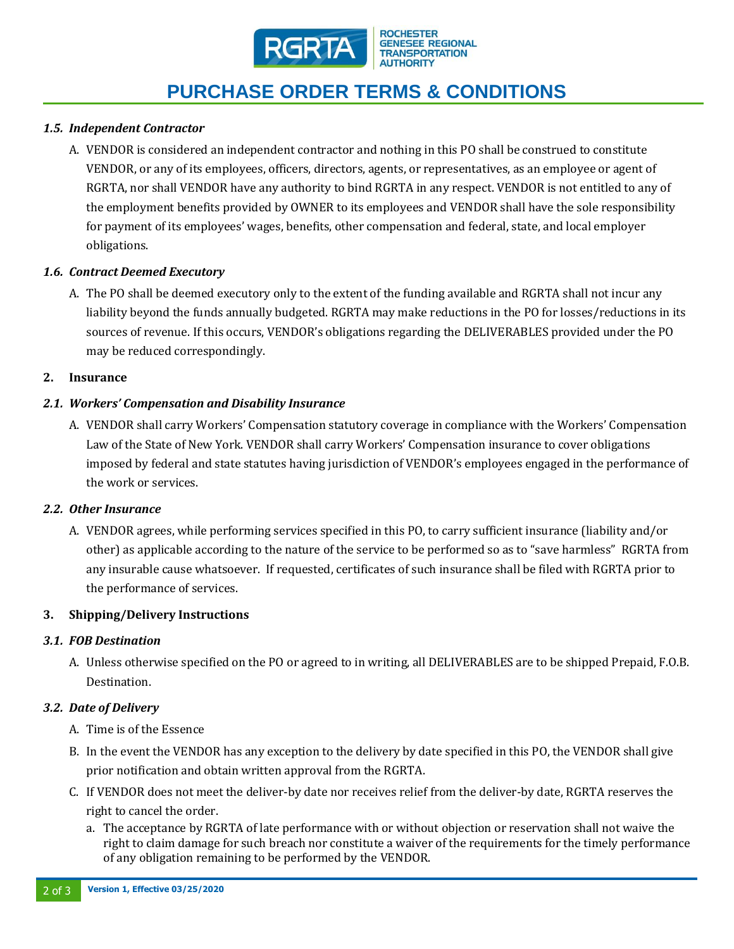

# **PURCHASE ORDER TERMS & CONDITIONS**

## *1.5. Independent Contractor*

A. VENDOR is considered an independent contractor and nothing in this PO shall be construed to constitute VENDOR, or any of its employees, officers, directors, agents, or representatives, as an employee or agent of RGRTA, nor shall VENDOR have any authority to bind RGRTA in any respect. VENDOR is not entitled to any of the employment benefits provided by OWNER to its employees and VENDOR shall have the sole responsibility for payment of its employees' wages, benefits, other compensation and federal, state, and local employer obligations.

### *1.6. Contract Deemed Executory*

A. The PO shall be deemed executory only to the extent of the funding available and RGRTA shall not incur any liability beyond the funds annually budgeted. RGRTA may make reductions in the PO for losses/reductions in its sources of revenue. If this occurs, VENDOR's obligations regarding the DELIVERABLES provided under the PO may be reduced correspondingly.

#### **2. Insurance**

### *2.1. Workers' Compensation and Disability Insurance*

A. VENDOR shall carry Workers' Compensation statutory coverage in compliance with the Workers' Compensation Law of the State of New York. VENDOR shall carry Workers' Compensation insurance to cover obligations imposed by federal and state statutes having jurisdiction of VENDOR's employees engaged in the performance of the work or services.

#### *2.2. Other Insurance*

A. VENDOR agrees, while performing services specified in this PO, to carry sufficient insurance (liability and/or other) as applicable according to the nature of the service to be performed so as to "save harmless" RGRTA from any insurable cause whatsoever. If requested, certificates of such insurance shall be filed with RGRTA prior to the performance of services.

#### **3. Shipping/Delivery Instructions**

#### *3.1. FOB Destination*

A. Unless otherwise specified on the PO or agreed to in writing, all DELIVERABLES are to be shipped Prepaid, F.O.B. Destination.

#### *3.2. Date of Delivery*

- A. Time is of the Essence
- B. In the event the VENDOR has any exception to the delivery by date specified in this PO, the VENDOR shall give prior notification and obtain written approval from the RGRTA.
- C. If VENDOR does not meet the deliver-by date nor receives relief from the deliver-by date, RGRTA reserves the right to cancel the order.
	- a. The acceptance by RGRTA of late performance with or without objection or reservation shall not waive the right to claim damage for such breach nor constitute a waiver of the requirements for the timely performance of any obligation remaining to be performed by the VENDOR.